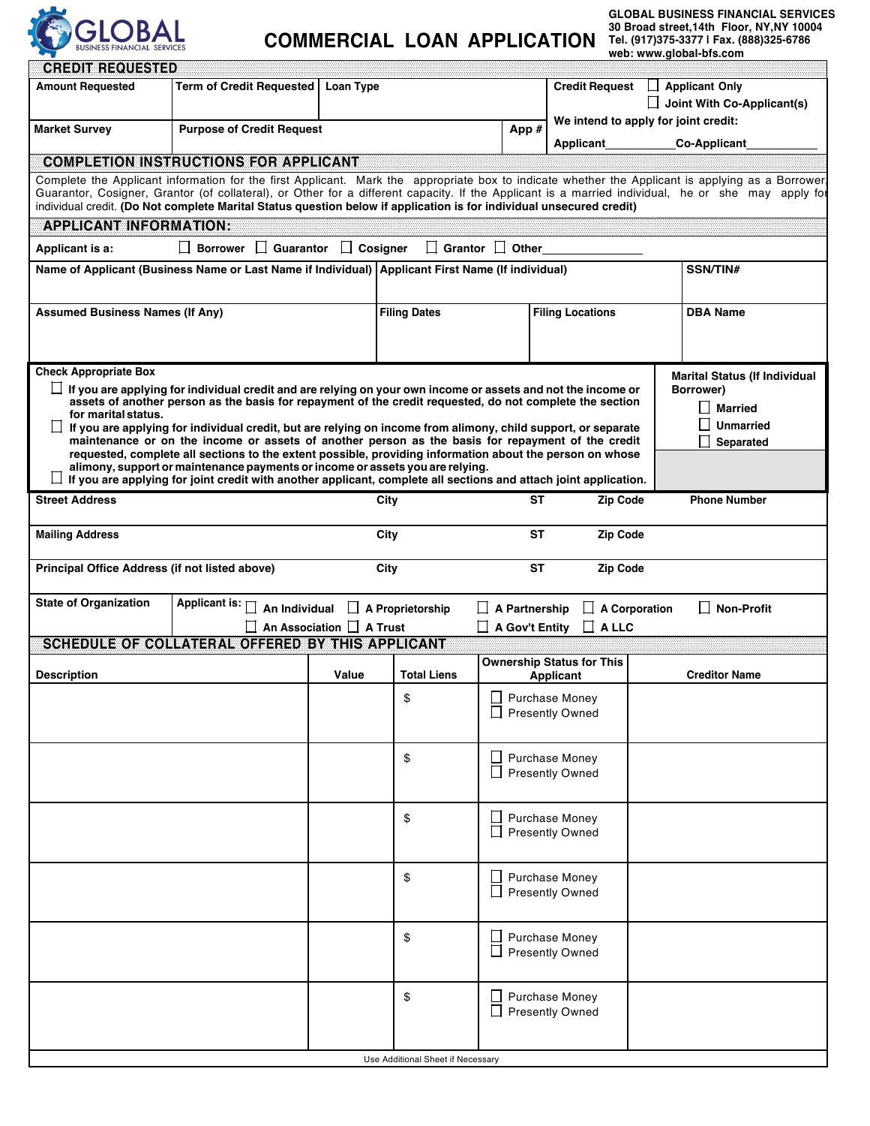

## **COMMERCIAL LOAN APPLICATION**

**GLOBAL BUSINESS FINANCIAL SERVICES 30 Broad street,14th Floor, NY,NY 10004 Tel. (917)375-3377 | Fax. (888)325-6786 web: www.global-bfs.com**m

| <b>Amount Requested</b>                        | <b>Term of Credit Requested</b>                                                                                                                                                                                                                                                                        | Loan Type                            |                                                                                                   |                             | <b>Credit Request</b>                |          | Applicant Only                                    |
|------------------------------------------------|--------------------------------------------------------------------------------------------------------------------------------------------------------------------------------------------------------------------------------------------------------------------------------------------------------|--------------------------------------|---------------------------------------------------------------------------------------------------|-----------------------------|--------------------------------------|----------|---------------------------------------------------|
|                                                |                                                                                                                                                                                                                                                                                                        |                                      |                                                                                                   |                             |                                      |          | $\Box$ Joint With Co-Applicant(s)                 |
|                                                |                                                                                                                                                                                                                                                                                                        |                                      |                                                                                                   |                             | We intend to apply for joint credit: |          |                                                   |
| <b>Market Survey</b>                           | <b>Purpose of Credit Request</b>                                                                                                                                                                                                                                                                       |                                      |                                                                                                   | App #                       | Applicant                            |          | <b>Co-Applicant</b>                               |
|                                                |                                                                                                                                                                                                                                                                                                        |                                      |                                                                                                   |                             |                                      |          |                                                   |
|                                                | <b>COMPLETION INSTRUCTIONS FOR APPLICANT</b>                                                                                                                                                                                                                                                           |                                      |                                                                                                   |                             |                                      |          |                                                   |
|                                                | Complete the Applicant information for the first Applicant. Mark the appropriate box to indicate whether the Applicant is applying as a Borrower<br>Guarantor, Cosigner, Grantor (of collateral), or Other for a different capacity. If the Applicant is a married individual, he or she may apply for |                                      |                                                                                                   |                             |                                      |          |                                                   |
|                                                | individual credit. (Do Not complete Marital Status question below if application is for individual unsecured credit)                                                                                                                                                                                   |                                      |                                                                                                   |                             |                                      |          |                                                   |
| <b>APPLICANT INFORMATION:</b>                  |                                                                                                                                                                                                                                                                                                        |                                      |                                                                                                   |                             |                                      |          |                                                   |
| Applicant is a:                                | $\Box$ Borrower $\Box$ Guarantor $\Box$ Cosigner                                                                                                                                                                                                                                                       |                                      |                                                                                                   | $\Box$ Grantor $\Box$ Other |                                      |          |                                                   |
|                                                |                                                                                                                                                                                                                                                                                                        |                                      |                                                                                                   |                             |                                      |          |                                                   |
|                                                |                                                                                                                                                                                                                                                                                                        |                                      | Name of Applicant (Business Name or Last Name if Individual) Applicant First Name (If individual) |                             |                                      | SSN/TIN# |                                                   |
|                                                |                                                                                                                                                                                                                                                                                                        |                                      |                                                                                                   |                             |                                      |          |                                                   |
| <b>Assumed Business Names (If Any)</b>         |                                                                                                                                                                                                                                                                                                        |                                      | <b>Filing Dates</b>                                                                               |                             | <b>Filing Locations</b>              |          | <b>DBA Name</b>                                   |
|                                                |                                                                                                                                                                                                                                                                                                        |                                      |                                                                                                   |                             |                                      |          |                                                   |
|                                                |                                                                                                                                                                                                                                                                                                        |                                      |                                                                                                   |                             |                                      |          |                                                   |
| <b>Check Appropriate Box</b>                   |                                                                                                                                                                                                                                                                                                        |                                      |                                                                                                   |                             |                                      |          |                                                   |
|                                                | $\Box$ If you are applying for individual credit and are relying on your own income or assets and not the income or                                                                                                                                                                                    |                                      |                                                                                                   |                             |                                      |          | <b>Marital Status (If Individual</b><br>Borrower) |
|                                                | assets of another person as the basis for repayment of the credit requested, do not complete the section                                                                                                                                                                                               |                                      |                                                                                                   |                             |                                      |          | <b>Married</b>                                    |
| for marital status.                            |                                                                                                                                                                                                                                                                                                        |                                      |                                                                                                   |                             |                                      |          | <b>Unmarried</b>                                  |
|                                                | If you are applying for individual credit, but are relying on income from alimony, child support, or separate<br>maintenance or on the income or assets of another person as the basis for repayment of the credit                                                                                     |                                      |                                                                                                   |                             |                                      |          | Separated                                         |
|                                                | requested, complete all sections to the extent possible, providing information about the person on whose                                                                                                                                                                                               |                                      |                                                                                                   |                             |                                      |          |                                                   |
|                                                | alimony, support or maintenance payments or income or assets you are relying.                                                                                                                                                                                                                          |                                      |                                                                                                   |                             |                                      |          |                                                   |
|                                                | If you are applying for joint credit with another applicant, complete all sections and attach joint application.                                                                                                                                                                                       |                                      |                                                                                                   |                             |                                      |          |                                                   |
| <b>Street Address</b>                          |                                                                                                                                                                                                                                                                                                        |                                      | City                                                                                              | ST                          | <b>Zip Code</b>                      |          | <b>Phone Number</b>                               |
| <b>Mailing Address</b>                         |                                                                                                                                                                                                                                                                                                        |                                      | City                                                                                              | ST                          | <b>Zip Code</b>                      |          |                                                   |
|                                                |                                                                                                                                                                                                                                                                                                        |                                      |                                                                                                   |                             |                                      |          |                                                   |
| Principal Office Address (if not listed above) |                                                                                                                                                                                                                                                                                                        |                                      | City                                                                                              | <b>ST</b>                   | <b>Zip Code</b>                      |          |                                                   |
| <b>State of Organization</b>                   | Applicant is: $\Box$ An Individual                                                                                                                                                                                                                                                                     |                                      | $\Box$ A Proprietorship                                                                           | $\Box$ A Partnership        | $\Box$ A Corporation                 |          | $\Box$ Non-Profit                                 |
|                                                |                                                                                                                                                                                                                                                                                                        | $\Box$ An Association $\Box$ A Trust |                                                                                                   |                             |                                      |          |                                                   |
|                                                | SCHEDUE COMOOL ATERA COEERED BY THIS A 22 LOAN T                                                                                                                                                                                                                                                       |                                      |                                                                                                   | $\Box$ A Gov't Entity       | $\Box$ A LLC                         |          |                                                   |
|                                                |                                                                                                                                                                                                                                                                                                        |                                      |                                                                                                   |                             | <b>Ownership Status for This</b>     |          |                                                   |
| Description                                    |                                                                                                                                                                                                                                                                                                        | Value                                | <b>Total Liens</b>                                                                                |                             | Applicant                            |          | <b>Creditor Name</b>                              |
|                                                |                                                                                                                                                                                                                                                                                                        |                                      | \$                                                                                                |                             | <b>Purchase Money</b>                |          |                                                   |
|                                                |                                                                                                                                                                                                                                                                                                        |                                      |                                                                                                   | □ Presently Owned           |                                      |          |                                                   |
|                                                |                                                                                                                                                                                                                                                                                                        |                                      |                                                                                                   |                             |                                      |          |                                                   |
|                                                |                                                                                                                                                                                                                                                                                                        |                                      |                                                                                                   |                             |                                      |          |                                                   |
|                                                |                                                                                                                                                                                                                                                                                                        |                                      | \$                                                                                                |                             | <b>Purchase Money</b>                |          |                                                   |
|                                                |                                                                                                                                                                                                                                                                                                        |                                      |                                                                                                   | $\Box$ Presently Owned      |                                      |          |                                                   |
|                                                |                                                                                                                                                                                                                                                                                                        |                                      |                                                                                                   |                             |                                      |          |                                                   |
|                                                |                                                                                                                                                                                                                                                                                                        |                                      | \$                                                                                                |                             | <b>Purchase Money</b>                |          |                                                   |
|                                                |                                                                                                                                                                                                                                                                                                        |                                      |                                                                                                   | $\Box$ Presently Owned      |                                      |          |                                                   |
|                                                |                                                                                                                                                                                                                                                                                                        |                                      |                                                                                                   |                             |                                      |          |                                                   |
|                                                |                                                                                                                                                                                                                                                                                                        |                                      |                                                                                                   |                             |                                      |          |                                                   |
|                                                |                                                                                                                                                                                                                                                                                                        |                                      | \$                                                                                                | $\Box$ Presently Owned      | <b>Purchase Money</b>                |          |                                                   |
|                                                |                                                                                                                                                                                                                                                                                                        |                                      |                                                                                                   |                             |                                      |          |                                                   |
|                                                |                                                                                                                                                                                                                                                                                                        |                                      |                                                                                                   |                             |                                      |          |                                                   |
|                                                |                                                                                                                                                                                                                                                                                                        |                                      | \$                                                                                                |                             | <b>Purchase Money</b>                |          |                                                   |
|                                                |                                                                                                                                                                                                                                                                                                        |                                      |                                                                                                   | $\Box$ Presently Owned      |                                      |          |                                                   |
|                                                |                                                                                                                                                                                                                                                                                                        |                                      |                                                                                                   |                             |                                      |          |                                                   |
|                                                |                                                                                                                                                                                                                                                                                                        |                                      | \$                                                                                                |                             | <b>Purchase Money</b>                |          |                                                   |
|                                                |                                                                                                                                                                                                                                                                                                        |                                      |                                                                                                   | $\Box$ Presently Owned      |                                      |          |                                                   |
|                                                |                                                                                                                                                                                                                                                                                                        |                                      |                                                                                                   |                             |                                      |          |                                                   |
|                                                |                                                                                                                                                                                                                                                                                                        |                                      |                                                                                                   |                             |                                      |          |                                                   |
|                                                |                                                                                                                                                                                                                                                                                                        |                                      | Use Additional Sheet if Necessary                                                                 |                             |                                      |          |                                                   |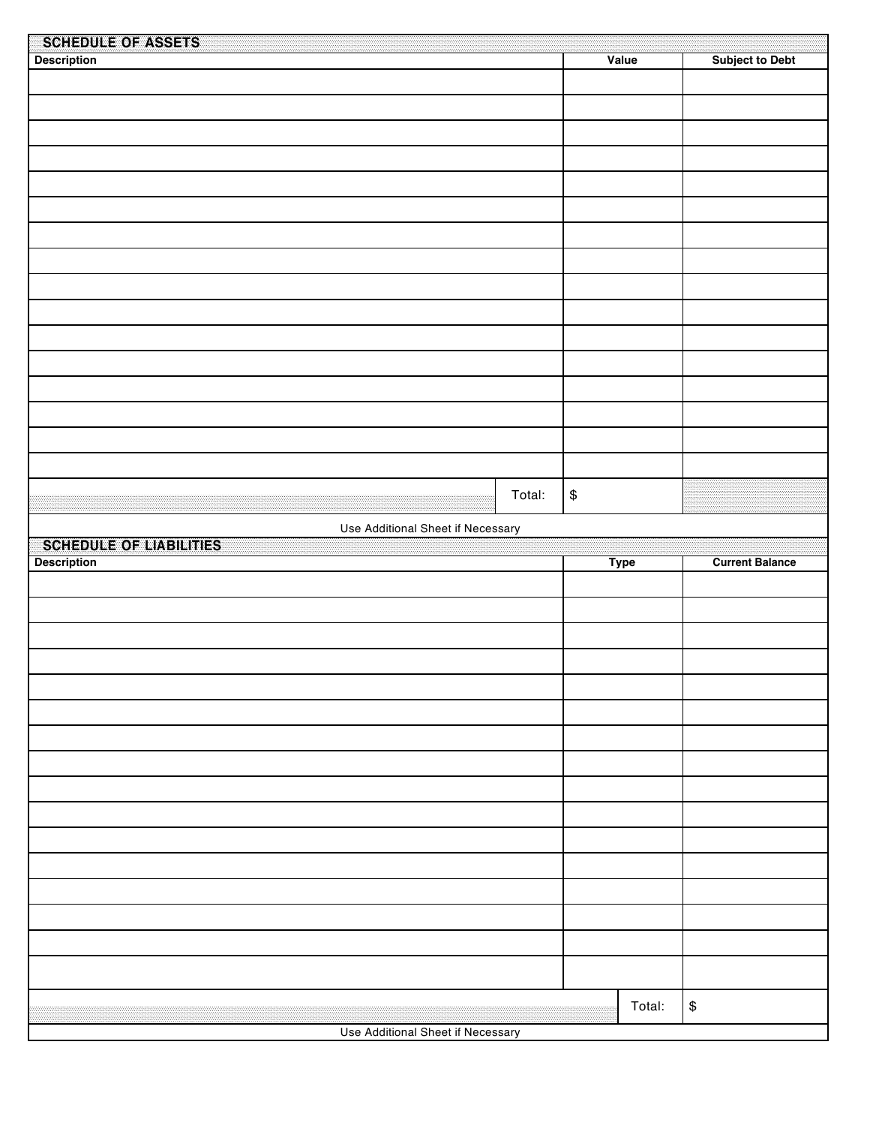| SCHEDU <b>E EO E</b> ALGHES       |        |                |                        |
|-----------------------------------|--------|----------------|------------------------|
| <b>Description</b>                |        | Value          | <b>Subject to Debt</b> |
|                                   |        |                |                        |
|                                   |        |                |                        |
|                                   |        |                |                        |
|                                   |        |                |                        |
|                                   |        |                |                        |
|                                   |        |                |                        |
|                                   |        |                |                        |
|                                   |        |                |                        |
|                                   |        |                |                        |
|                                   |        |                |                        |
|                                   |        |                |                        |
|                                   |        |                |                        |
|                                   |        |                |                        |
|                                   |        |                |                        |
|                                   |        |                |                        |
|                                   |        |                |                        |
|                                   |        |                |                        |
|                                   |        |                |                        |
|                                   |        |                |                        |
|                                   |        |                |                        |
|                                   |        |                |                        |
|                                   |        |                |                        |
|                                   |        |                |                        |
|                                   |        |                |                        |
|                                   |        |                |                        |
|                                   | Total: | $\mathfrak{S}$ |                        |
|                                   |        |                |                        |
| Use Additional Sheet if Necessary |        |                |                        |
|                                   |        |                |                        |
|                                   |        |                |                        |
| SCHEDULE OF LABILITIES            |        |                |                        |
| <b>Description</b>                |        | <b>Type</b>    | <b>Current Balance</b> |
|                                   |        |                |                        |
|                                   |        |                |                        |
|                                   |        |                |                        |
|                                   |        |                |                        |
|                                   |        |                |                        |
|                                   |        |                |                        |
|                                   |        |                |                        |
|                                   |        |                |                        |
|                                   |        |                |                        |
|                                   |        |                |                        |
|                                   |        |                |                        |
|                                   |        |                |                        |
|                                   |        |                |                        |
|                                   |        |                |                        |
|                                   |        |                |                        |
|                                   |        |                |                        |
|                                   |        |                |                        |
|                                   |        |                |                        |
|                                   |        |                |                        |
|                                   |        |                |                        |
|                                   |        |                |                        |
|                                   |        |                |                        |
|                                   |        |                |                        |
|                                   |        |                |                        |
|                                   |        |                |                        |
| Use Additional Sheet if Necessary |        | Total:         | $\, \, \$$             |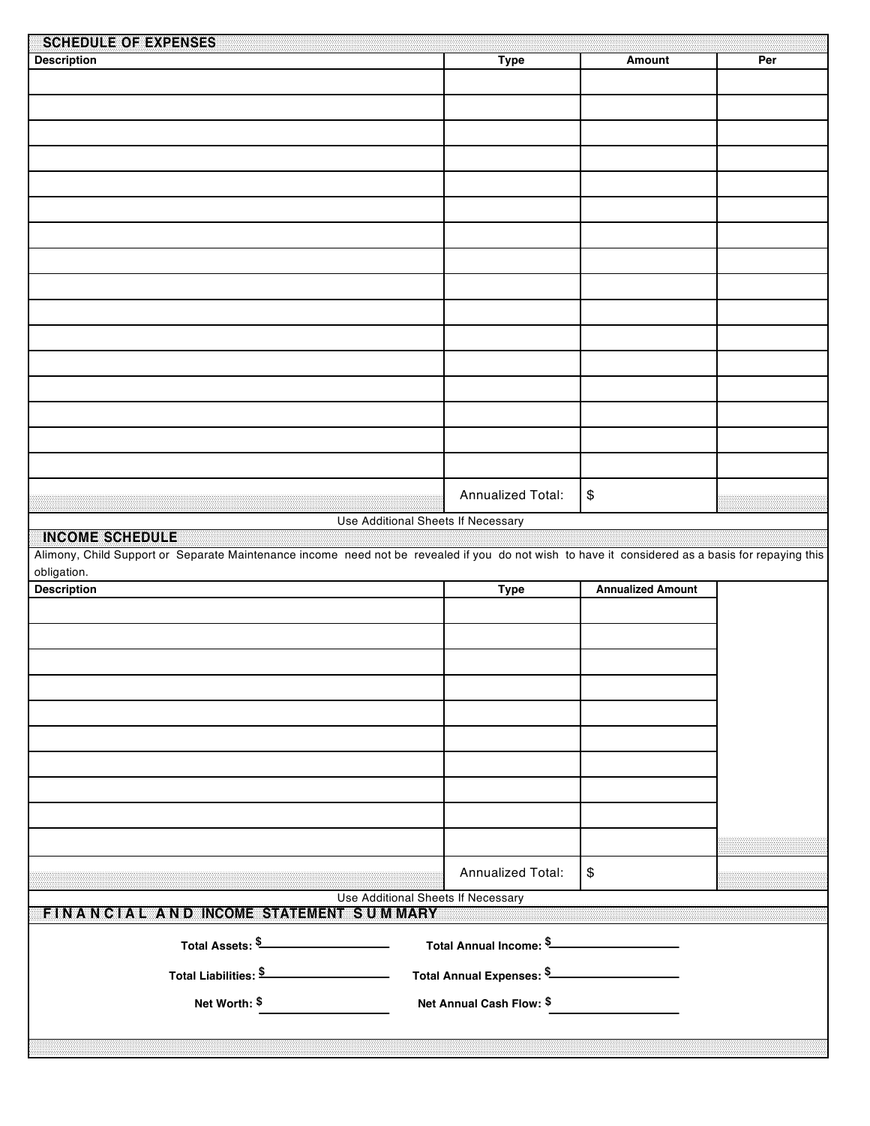| <u>Sehiadurao abxoanses</u>                                                                                                                                                                                                                                                  |                                           |                          |     |  |  |
|------------------------------------------------------------------------------------------------------------------------------------------------------------------------------------------------------------------------------------------------------------------------------|-------------------------------------------|--------------------------|-----|--|--|
| <b>Description</b>                                                                                                                                                                                                                                                           | <b>Type</b>                               | Amount                   | Per |  |  |
|                                                                                                                                                                                                                                                                              |                                           |                          |     |  |  |
|                                                                                                                                                                                                                                                                              |                                           |                          |     |  |  |
|                                                                                                                                                                                                                                                                              |                                           |                          |     |  |  |
|                                                                                                                                                                                                                                                                              |                                           |                          |     |  |  |
|                                                                                                                                                                                                                                                                              |                                           |                          |     |  |  |
|                                                                                                                                                                                                                                                                              |                                           |                          |     |  |  |
|                                                                                                                                                                                                                                                                              |                                           |                          |     |  |  |
|                                                                                                                                                                                                                                                                              |                                           |                          |     |  |  |
|                                                                                                                                                                                                                                                                              |                                           |                          |     |  |  |
|                                                                                                                                                                                                                                                                              |                                           |                          |     |  |  |
|                                                                                                                                                                                                                                                                              |                                           |                          |     |  |  |
|                                                                                                                                                                                                                                                                              |                                           |                          |     |  |  |
|                                                                                                                                                                                                                                                                              |                                           |                          |     |  |  |
|                                                                                                                                                                                                                                                                              |                                           |                          |     |  |  |
|                                                                                                                                                                                                                                                                              |                                           |                          |     |  |  |
|                                                                                                                                                                                                                                                                              |                                           |                          |     |  |  |
|                                                                                                                                                                                                                                                                              |                                           |                          |     |  |  |
|                                                                                                                                                                                                                                                                              |                                           |                          |     |  |  |
|                                                                                                                                                                                                                                                                              |                                           |                          |     |  |  |
|                                                                                                                                                                                                                                                                              |                                           |                          |     |  |  |
|                                                                                                                                                                                                                                                                              | Annualized Total:                         | $\,$                     |     |  |  |
|                                                                                                                                                                                                                                                                              |                                           |                          |     |  |  |
| INGOMERSCHEDUNE                                                                                                                                                                                                                                                              | Use Additional Sheets If Necessary        |                          |     |  |  |
| Alimony, Child Support or Separate Maintenance income need not be revealed if you do not wish to have it considered as a basis for repaying this                                                                                                                             |                                           |                          |     |  |  |
| obligation.                                                                                                                                                                                                                                                                  |                                           |                          |     |  |  |
| <b>Description</b>                                                                                                                                                                                                                                                           | <b>Type</b>                               | <b>Annualized Amount</b> |     |  |  |
|                                                                                                                                                                                                                                                                              |                                           |                          |     |  |  |
|                                                                                                                                                                                                                                                                              |                                           |                          |     |  |  |
|                                                                                                                                                                                                                                                                              |                                           |                          |     |  |  |
|                                                                                                                                                                                                                                                                              |                                           |                          |     |  |  |
|                                                                                                                                                                                                                                                                              |                                           |                          |     |  |  |
|                                                                                                                                                                                                                                                                              |                                           |                          |     |  |  |
|                                                                                                                                                                                                                                                                              |                                           |                          |     |  |  |
|                                                                                                                                                                                                                                                                              |                                           |                          |     |  |  |
|                                                                                                                                                                                                                                                                              |                                           |                          |     |  |  |
|                                                                                                                                                                                                                                                                              |                                           |                          |     |  |  |
|                                                                                                                                                                                                                                                                              |                                           |                          |     |  |  |
|                                                                                                                                                                                                                                                                              |                                           |                          |     |  |  |
|                                                                                                                                                                                                                                                                              |                                           |                          |     |  |  |
|                                                                                                                                                                                                                                                                              | Annualized Total:                         | $\boldsymbol{\$}$        |     |  |  |
|                                                                                                                                                                                                                                                                              | <b>Use Additional Sheets If Necessary</b> |                          |     |  |  |
| EINVANNGIVAI IIVANDIINGOMEISYATEMENI IISTUJMIMARY                                                                                                                                                                                                                            |                                           |                          |     |  |  |
| Total Assets: \$<br>Total Annual Income: \$_______________________                                                                                                                                                                                                           |                                           |                          |     |  |  |
|                                                                                                                                                                                                                                                                              |                                           |                          |     |  |  |
| Total Liabilities: \$<br>Total Annual Expenses: \$<br>1999 - The Manual Expenses: \$<br>1999 - The Manual Expenses: \$<br>1999 - The Manual Expenses: \$<br>1999 - The Manual Expenses: \$<br>1999 - The Manual Expenses: \$<br>1999 - The Manual Expenses: \$<br>1999 - The |                                           |                          |     |  |  |
| Net Annual Cash Flow: \$                                                                                                                                                                                                                                                     |                                           |                          |     |  |  |
| Net Worth: \$                                                                                                                                                                                                                                                                |                                           |                          |     |  |  |
|                                                                                                                                                                                                                                                                              |                                           |                          |     |  |  |
|                                                                                                                                                                                                                                                                              |                                           |                          |     |  |  |